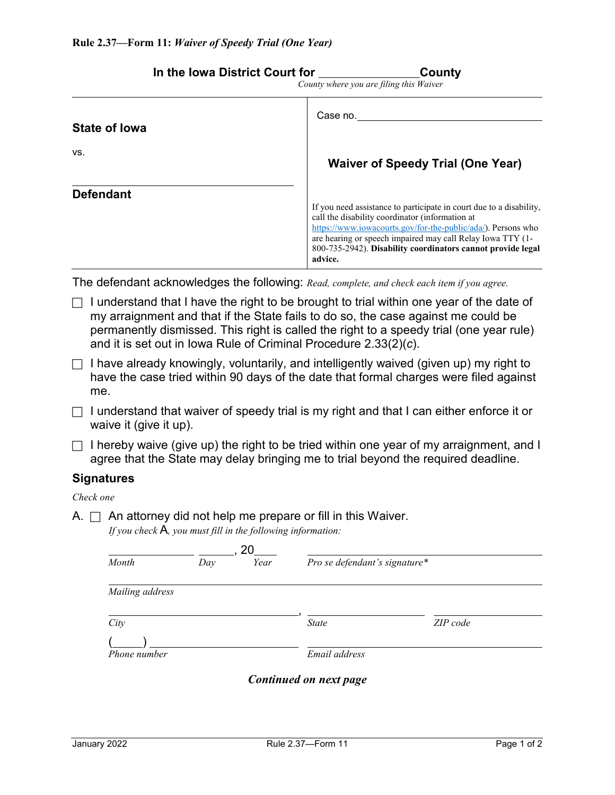| County where you are filing this Waiver |                                                                                                                                                                                                                                                                                                                                |  |
|-----------------------------------------|--------------------------------------------------------------------------------------------------------------------------------------------------------------------------------------------------------------------------------------------------------------------------------------------------------------------------------|--|
| <b>State of lowa</b>                    | Case no.                                                                                                                                                                                                                                                                                                                       |  |
| VS.                                     | <b>Waiver of Speedy Trial (One Year)</b>                                                                                                                                                                                                                                                                                       |  |
| <b>Defendant</b>                        | If you need assistance to participate in court due to a disability,<br>call the disability coordinator (information at<br>https://www.iowacourts.gov/for-the-public/ada/). Persons who<br>are hearing or speech impaired may call Relay Iowa TTY (1-<br>800-735-2942). Disability coordinators cannot provide legal<br>advice. |  |
|                                         | The defendant acknowledges the following: Read, complete, and check each item if you agree.                                                                                                                                                                                                                                    |  |
|                                         | I understand that I have the right to be brought to trial within one year of the date of                                                                                                                                                                                                                                       |  |

- my arraignment and that if the State fails to do so, the case against me could be permanently dismissed. This right is called the right to a speedy trial (one year rule) and it is set out in Iowa Rule of Criminal Procedure 2.33(2)(*c*).
- $\Box$  I have already knowingly, voluntarily, and intelligently waived (given up) my right to have the case tried within 90 days of the date that formal charges were filed against me.
- $\Box$  I understand that waiver of speedy trial is my right and that I can either enforce it or waive it (give it up).
- $\Box$  I hereby waive (give up) the right to be tried within one year of my arraignment, and I agree that the State may delay bringing me to trial beyond the required deadline.

## **Signatures**

*Check one*

A.  $\Box$  An attorney did not help me prepare or fill in this Waiver. *If you check* A*, you must fill in the following information:*

| Month           | Day | 20<br>Year | Pro se defendant's signature* |          |
|-----------------|-----|------------|-------------------------------|----------|
| Mailing address |     |            |                               |          |
| City            |     |            | <b>State</b>                  | ZIP code |
| Phone number    |     |            | Email address                 |          |
|                 |     |            | Continued on next page        |          |

**In the Iowa District Court for County County** 

|                                |  | --- |  |
|--------------------------------|--|-----|--|
| ere vou are filing this Waiver |  |     |  |